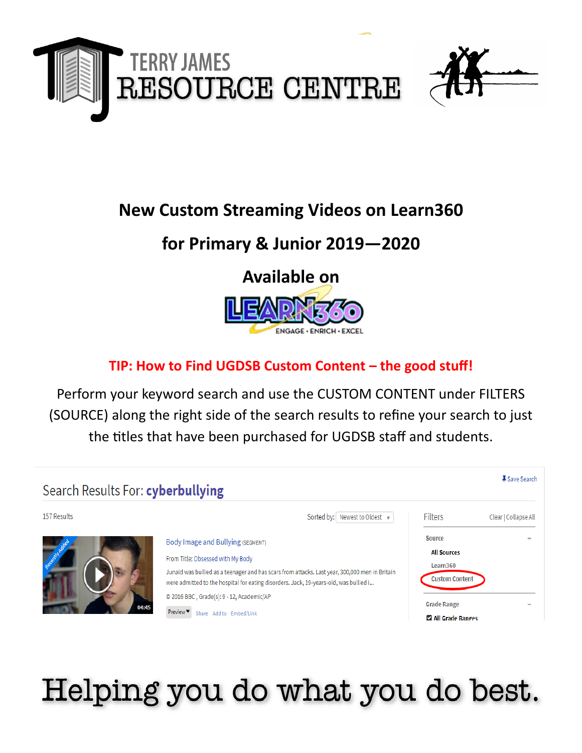

# **New Custom Streaming Videos on Learn360**

# **for Primary & Junior 2019—2020**

## **Available on**



### **TIP: How to Find UGDSB Custom Content – the good stuff!**

Perform your keyword search and use the CUSTOM CONTENT under FILTERS (SOURCE) along the right side of the search results to refine your search to just the titles that have been purchased for UGDSB staff and students.



# Helping you do what you do best.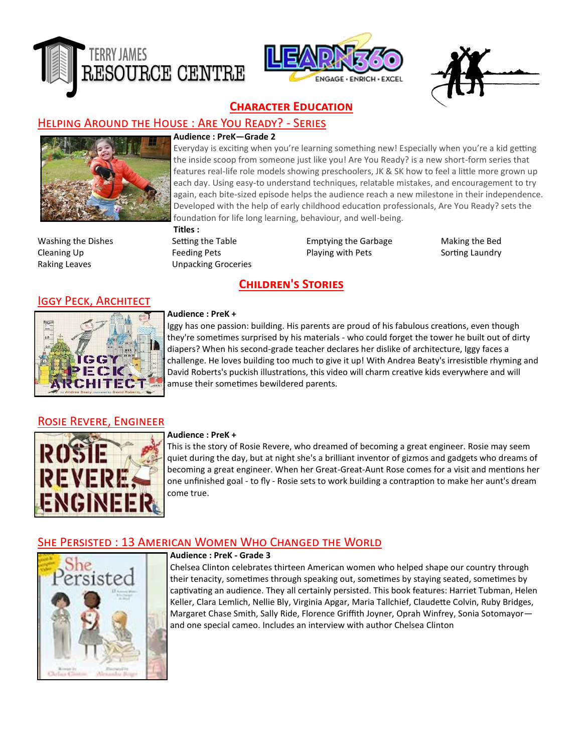





#### **Character Education**

#### Helping Around the House : Are You Ready? - Series

#### **Audience : PreK—Grade 2**



Everyday is exciting when you're learning something new! Especially when you're a kid getting the inside scoop from someone just like you! Are You Ready? is a new short-form series that features real-life role models showing preschoolers, JK & SK how to feel a little more grown up each day. Using easy-to understand techniques, relatable mistakes, and encouragement to try again, each bite-sized episode helps the audience reach a new milestone in their independence. Developed with the help of early childhood education professionals, Are You Ready? sets the foundation for life long learning, behaviour, and well-being.

**Titles :** Raking Leaves **Exercise Engine Contract Unpacking Groceries** 

Washing the Dishes Setting the Table Emptying the Garbage Making the Bed Cleaning Up **Feeding Pets** Playing with Pets Sorting Laundry

#### **Children's Stories**



**IGGY PECK, ARCHITECT** 

#### **Audience : PreK +**

Iggy has one passion: building. His parents are proud of his fabulous creations, even though they're sometimes surprised by his materials - who could forget the tower he built out of dirty diapers? When his second-grade teacher declares her dislike of architecture, Iggy faces a challenge. He loves building too much to give it up! With Andrea Beaty's irresistible rhyming and David Roberts's puckish illustrations, this video will charm creative kids everywhere and will amuse their sometimes bewildered parents.

#### Rosie Revere, Engineer



#### **Audience : PreK +**

This is the story of Rosie Revere, who dreamed of becoming a great engineer. Rosie may seem quiet during the day, but at night she's a brilliant inventor of gizmos and gadgets who dreams of becoming a great engineer. When her Great-Great-Aunt Rose comes for a visit and mentions her one unfinished goal - to fly - Rosie sets to work building a contraption to make her aunt's dream come true.

#### She Persisted : 13 American Women Who Changed the World



#### **Audience : PreK - Grade 3**

Chelsea Clinton celebrates thirteen American women who helped shape our country through their tenacity, sometimes through speaking out, sometimes by staying seated, sometimes by captivating an audience. They all certainly persisted. This book features: Harriet Tubman, Helen Keller, Clara Lemlich, Nellie Bly, Virginia Apgar, Maria Tallchief, Claudette Colvin, Ruby Bridges, Margaret Chase Smith, Sally Ride, Florence Griffith Joyner, Oprah Winfrey, Sonia Sotomayor and one special cameo. Includes an interview with author Chelsea Clinton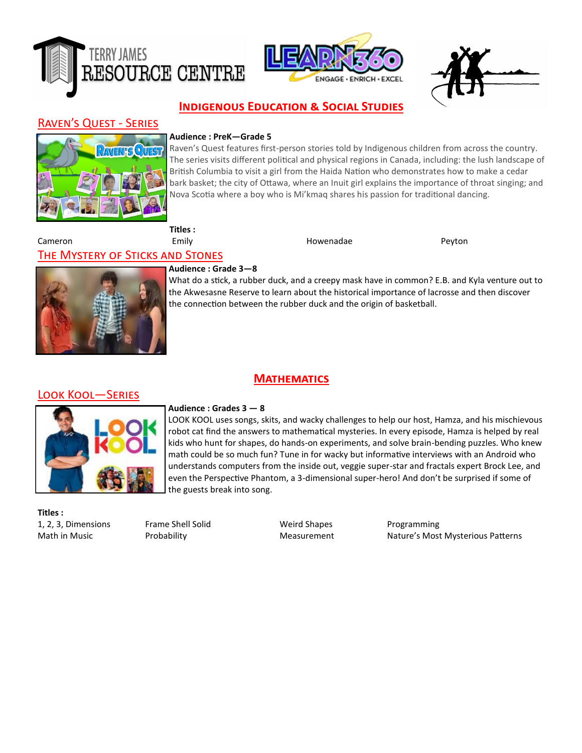





#### **Indigenous Education & Social Studies**

#### Raven's Quest - Series



#### **Audience : PreK—Grade 5**

Raven's Quest features first-person stories told by Indigenous children from across the country. The series visits different political and physical regions in Canada, including: the lush landscape of British Columbia to visit a girl from the Haida Nation who demonstrates how to make a cedar bark basket; the city of Ottawa, where an Inuit girl explains the importance of throat singing; and Nova Scotia where a boy who is Mi'kmaq shares his passion for traditional dancing.

#### Cameron Emily Howenadae Peyton

**Titles :**

#### The Mystery of Sticks and Stones

**Mathematics**



#### **Audience : Grade 3—8**

What do a stick, a rubber duck, and a creepy mask have in common? E.B. and Kyla venture out to the Akwesasne Reserve to learn about the historical importance of lacrosse and then discover the connection between the rubber duck and the origin of basketball.

#### Look Kool—Series



#### **Audience : Grades 3 — 8**

LOOK KOOL uses songs, skits, and wacky challenges to help our host, Hamza, and his mischievous robot cat find the answers to mathematical mysteries. In every episode, Hamza is helped by real kids who hunt for shapes, do hands-on experiments, and solve brain-bending puzzles. Who knew math could be so much fun? Tune in for wacky but informative interviews with an Android who understands computers from the inside out, veggie super-star and fractals expert Brock Lee, and even the Perspective Phantom, a 3-dimensional super-hero! And don't be surprised if some of the guests break into song.

**Titles :** 1, 2, 3, Dimensions Frame Shell Solid Weird Shapes Programming

Math in Music **Nature's Measurement** Measurement Nature's Most Mysterious Patterns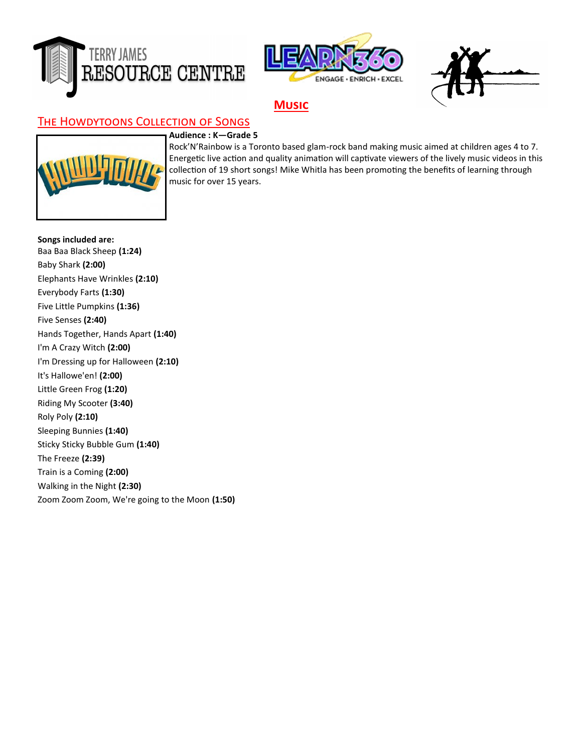





#### **Music**

#### The Howdytoons Collection of Songs

#### **Audience : K—Grade 5**



Rock'N'Rainbow is a Toronto based glam-rock band making music aimed at children ages 4 to 7. Energetic live action and quality animation will captivate viewers of the lively music videos in this collection of 19 short songs! Mike Whitla has been promoting the benefits of learning through music for over 15 years.

**Songs included are:**  Baa Baa Black Sheep **(1:24)**  Baby Shark **(2:00)**  Elephants Have Wrinkles **(2:10)**  Everybody Farts **(1:30)**  Five Little Pumpkins **(1:36)**  Five Senses **(2:40)**  Hands Together, Hands Apart **(1:40)**  I'm A Crazy Witch **(2:00)**  I'm Dressing up for Halloween **(2:10)**  It's Hallowe'en! **(2:00)**  Little Green Frog **(1:20)**  Riding My Scooter **(3:40)**  Roly Poly **(2:10)**  Sleeping Bunnies **(1:40)**  Sticky Sticky Bubble Gum **(1:40)**  The Freeze **(2:39)**  Train is a Coming **(2:00)**  Walking in the Night **(2:30)**  Zoom Zoom Zoom, We're going to the Moon **(1:50)**